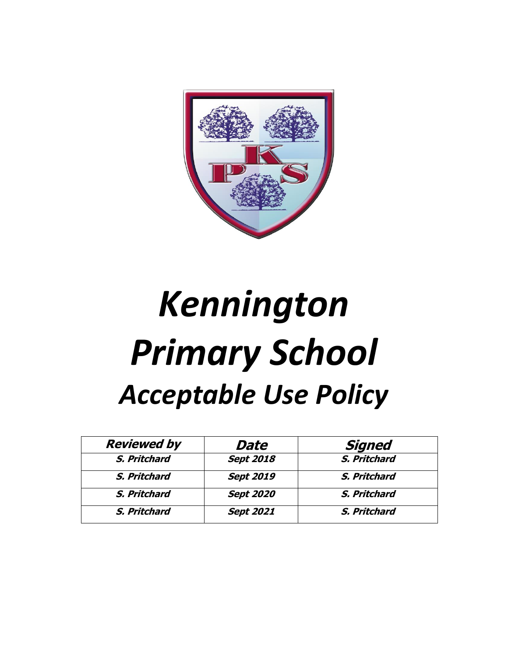

# *Kennington Primary School Acceptable Use Policy*

| <b>Reviewed by</b> | Date             | <b>Signed</b> |
|--------------------|------------------|---------------|
| S. Pritchard       | <b>Sept 2018</b> | S. Pritchard  |
| S. Pritchard       | <b>Sept 2019</b> | S. Pritchard  |
| S. Pritchard       | <b>Sept 2020</b> | S. Pritchard  |
| S. Pritchard       | <b>Sept 2021</b> | S. Pritchard  |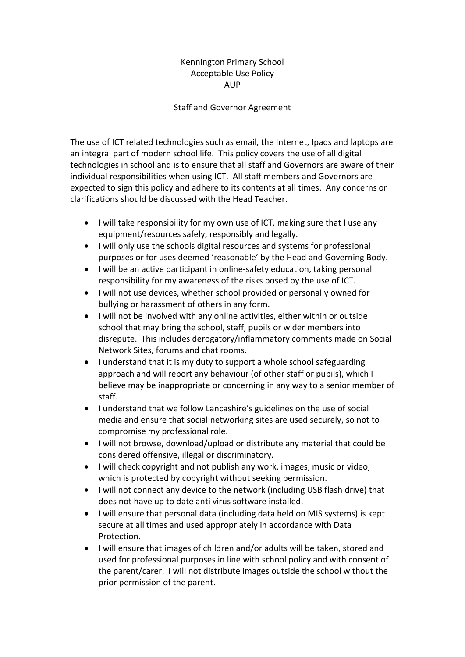## Kennington Primary School Acceptable Use Policy AUP

#### Staff and Governor Agreement

The use of ICT related technologies such as email, the Internet, Ipads and laptops are an integral part of modern school life. This policy covers the use of all digital technologies in school and is to ensure that all staff and Governors are aware of their individual responsibilities when using ICT. All staff members and Governors are expected to sign this policy and adhere to its contents at all times. Any concerns or clarifications should be discussed with the Head Teacher.

- I will take responsibility for my own use of ICT, making sure that I use any equipment/resources safely, responsibly and legally.
- I will only use the schools digital resources and systems for professional purposes or for uses deemed 'reasonable' by the Head and Governing Body.
- I will be an active participant in online-safety education, taking personal responsibility for my awareness of the risks posed by the use of ICT.
- I will not use devices, whether school provided or personally owned for bullying or harassment of others in any form.
- I will not be involved with any online activities, either within or outside school that may bring the school, staff, pupils or wider members into disrepute. This includes derogatory/inflammatory comments made on Social Network Sites, forums and chat rooms.
- I understand that it is my duty to support a whole school safeguarding approach and will report any behaviour (of other staff or pupils), which I believe may be inappropriate or concerning in any way to a senior member of staff.
- I understand that we follow Lancashire's guidelines on the use of social media and ensure that social networking sites are used securely, so not to compromise my professional role.
- I will not browse, download/upload or distribute any material that could be considered offensive, illegal or discriminatory.
- I will check copyright and not publish any work, images, music or video, which is protected by copyright without seeking permission.
- I will not connect any device to the network (including USB flash drive) that does not have up to date anti virus software installed.
- I will ensure that personal data (including data held on MIS systems) is kept secure at all times and used appropriately in accordance with Data Protection.
- I will ensure that images of children and/or adults will be taken, stored and used for professional purposes in line with school policy and with consent of the parent/carer. I will not distribute images outside the school without the prior permission of the parent.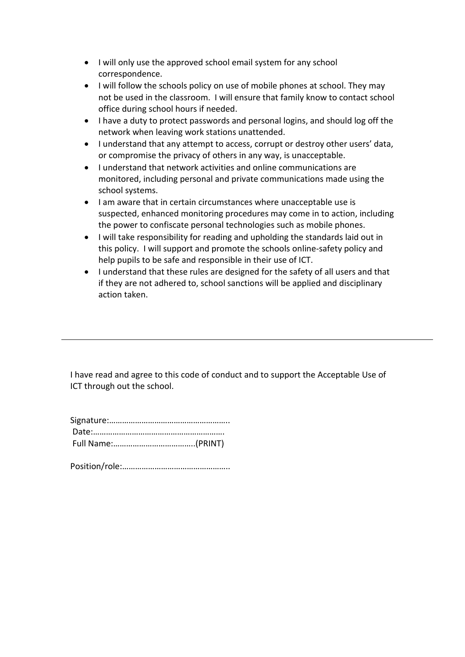- I will only use the approved school email system for any school correspondence.
- I will follow the schools policy on use of mobile phones at school. They may not be used in the classroom. I will ensure that family know to contact school office during school hours if needed.
- I have a duty to protect passwords and personal logins, and should log off the network when leaving work stations unattended.
- I understand that any attempt to access, corrupt or destroy other users' data, or compromise the privacy of others in any way, is unacceptable.
- I understand that network activities and online communications are monitored, including personal and private communications made using the school systems.
- I am aware that in certain circumstances where unacceptable use is suspected, enhanced monitoring procedures may come in to action, including the power to confiscate personal technologies such as mobile phones.
- I will take responsibility for reading and upholding the standards laid out in this policy. I will support and promote the schools online-safety policy and help pupils to be safe and responsible in their use of ICT.
- I understand that these rules are designed for the safety of all users and that if they are not adhered to, school sanctions will be applied and disciplinary action taken.

I have read and agree to this code of conduct and to support the Acceptable Use of ICT through out the school.

Position/role:…………………………………………..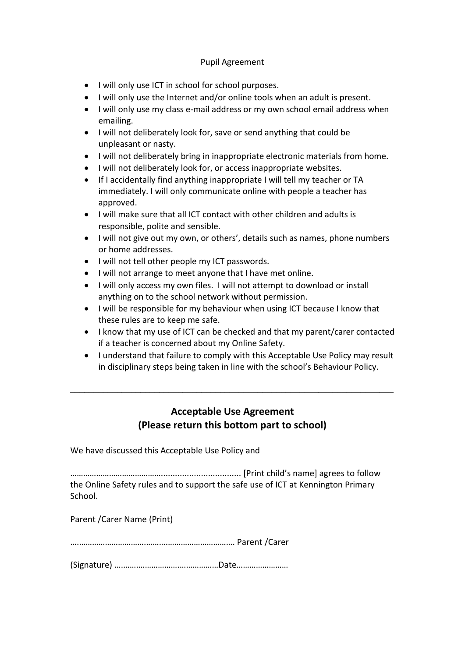## Pupil Agreement

- I will only use ICT in school for school purposes.
- I will only use the Internet and/or online tools when an adult is present.
- I will only use my class e-mail address or my own school email address when emailing.
- I will not deliberately look for, save or send anything that could be unpleasant or nasty.
- I will not deliberately bring in inappropriate electronic materials from home.
- I will not deliberately look for, or access inappropriate websites.
- If I accidentally find anything inappropriate I will tell my teacher or TA immediately. I will only communicate online with people a teacher has approved.
- I will make sure that all ICT contact with other children and adults is responsible, polite and sensible.
- I will not give out my own, or others', details such as names, phone numbers or home addresses.
- $\bullet$  I will not tell other people my ICT passwords.
- I will not arrange to meet anyone that I have met online.
- I will only access my own files. I will not attempt to download or install anything on to the school network without permission.
- I will be responsible for my behaviour when using ICT because I know that these rules are to keep me safe.
- I know that my use of ICT can be checked and that my parent/carer contacted if a teacher is concerned about my Online Safety.
- I understand that failure to comply with this Acceptable Use Policy may result in disciplinary steps being taken in line with the school's Behaviour Policy.

# **Acceptable Use Agreement (Please return this bottom part to school)**

\_\_\_\_\_\_\_\_\_\_\_\_\_\_\_\_\_\_\_\_\_\_\_\_\_\_\_\_\_\_\_\_\_\_\_\_\_\_\_\_\_\_\_\_\_\_\_\_\_\_\_\_\_\_\_\_\_\_\_\_\_\_\_\_\_\_\_\_\_

We have discussed this Acceptable Use Policy and

…………………………………….................................. [Print child's name] agrees to follow the Online Safety rules and to support the safe use of ICT at Kennington Primary School.

Parent /Carer Name (Print)

….………………………….……….…………………………. Parent /Carer

(Signature) ….…….……………….………………Date……………………